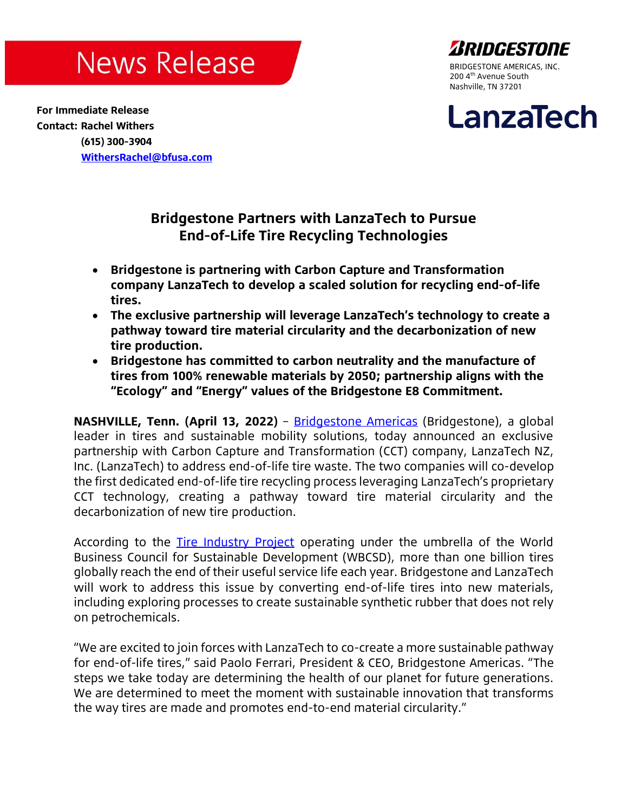## **News Release**

ARIDGESTODE BRIDGESTONE AMERICAS, INC. 200 4<sup>th</sup> Avenue South Nashville, TN 37201

### **For Immediate Release Contact: Rachel Withers (615) 300-3904 [WithersRachel@bfusa.com](mailto:WithersRachel@bfusa.com)**

# LanzaTech

## **Bridgestone Partners with LanzaTech to Pursue End-of-Life Tire Recycling Technologies**

- **Bridgestone is partnering with Carbon Capture and Transformation company LanzaTech to develop a scaled solution for recycling end-of-life tires.**
- **The exclusive partnership will leverage LanzaTech's technology to create a pathway toward tire material circularity and the decarbonization of new tire production.**
- **Bridgestone has committed to carbon neutrality and the manufacture of tires from 100% renewable materials by 2050; partnership aligns with the "Ecology" and "Energy" values of the Bridgestone E8 Commitment.**

**NASHVILLE, Tenn. (April 13, 2022)** – [Bridgestone Americas](https://www.bridgestoneamericas.com/en/index) (Bridgestone), a global leader in tires and sustainable mobility solutions, today announced an exclusive partnership with Carbon Capture and Transformation (CCT) company, LanzaTech NZ, Inc. (LanzaTech) to address end-of-life tire waste. The two companies will co-develop the first dedicated end-of-life tire recycling process leveraging LanzaTech's proprietary CCT technology, creating a pathway toward tire material circularity and the decarbonization of new tire production.

According to the [Tire Industry Project](https://www.wbcsd.org/Sector-Projects/Tire-Industry-Project/End-of-Life-Tires-ELTs) operating under the umbrella of the World Business Council for Sustainable Development (WBCSD), more than one billion tires globally reach the end of their useful service life each year. Bridgestone and LanzaTech will work to address this issue by converting end-of-life tires into new materials, including exploring processes to create sustainable synthetic rubber that does not rely on petrochemicals.

"We are excited to join forces with LanzaTech to co-create a more sustainable pathway for end-of-life tires," said Paolo Ferrari, President & CEO, Bridgestone Americas. "The steps we take today are determining the health of our planet for future generations. We are determined to meet the moment with sustainable innovation that transforms the way tires are made and promotes end-to-end material circularity."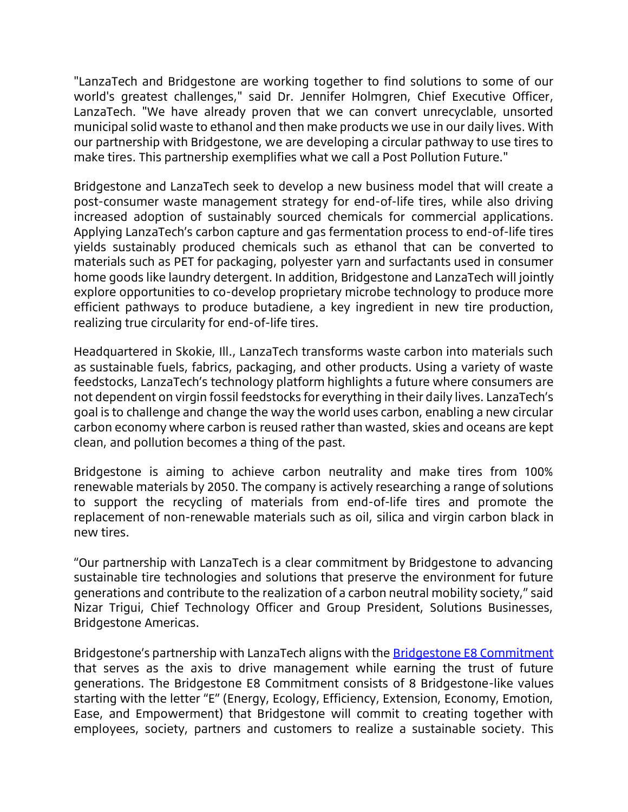"LanzaTech and Bridgestone are working together to find solutions to some of our world's greatest challenges," said Dr. Jennifer Holmgren, Chief Executive Officer, LanzaTech. "We have already proven that we can convert unrecyclable, unsorted municipal solid waste to ethanol and then make products we use in our daily lives. With our partnership with Bridgestone, we are developing a circular pathway to use tires to make tires. This partnership exemplifies what we call a Post Pollution Future."

Bridgestone and LanzaTech seek to develop a new business model that will create a post-consumer waste management strategy for end-of-life tires, while also driving increased adoption of sustainably sourced chemicals for commercial applications. Applying LanzaTech's carbon capture and gas fermentation process to end-of-life tires yields sustainably produced chemicals such as ethanol that can be converted to materials such as PET for packaging, polyester yarn and surfactants used in consumer home goods like laundry detergent. In addition, Bridgestone and LanzaTech will jointly explore opportunities to co-develop proprietary microbe technology to produce more efficient pathways to produce butadiene, a key ingredient in new tire production, realizing true circularity for end-of-life tires.

Headquartered in Skokie, Ill., LanzaTech transforms waste carbon into materials such as sustainable fuels, fabrics, packaging, and other products. Using a variety of waste feedstocks, LanzaTech's technology platform highlights a future where consumers are not dependent on virgin fossil feedstocks for everything in their daily lives. LanzaTech's goal is to challenge and change the way the world uses carbon, enabling a new circular carbon economy where carbon is reused rather than wasted, skies and oceans are kept clean, and pollution becomes a thing of the past.

Bridgestone is aiming to achieve carbon neutrality and make tires from 100% renewable materials by 2050. The company is actively researching a range of solutions to support the recycling of materials from end-of-life tires and promote the replacement of non-renewable materials such as oil, silica and virgin carbon black in new tires.

"Our partnership with LanzaTech is a clear commitment by Bridgestone to advancing sustainable tire technologies and solutions that preserve the environment for future generations and contribute to the realization of a carbon neutral mobility society," said Nizar Trigui, Chief Technology Officer and Group President, Solutions Businesses, Bridgestone Americas.

Bridgestone's partnership with LanzaTech aligns with the **[Bridgestone E8 Commitment](https://www.bridgestone.com/corporate/strategy/commitment/)** that serves as the axis to drive management while earning the trust of future generations. The Bridgestone E8 Commitment consists of 8 Bridgestone-like values starting with the letter "E" (Energy, Ecology, Efficiency, Extension, Economy, Emotion, Ease, and Empowerment) that Bridgestone will commit to creating together with employees, society, partners and customers to realize a sustainable society. This